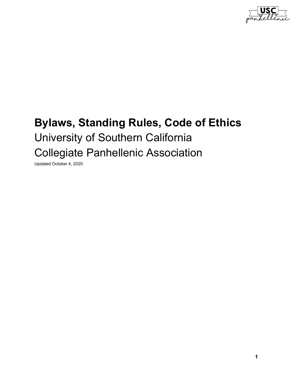

# **Bylaws, Standing Rules, Code of Ethics** University of Southern California Collegiate Panhellenic Association

Updated October 4, 2020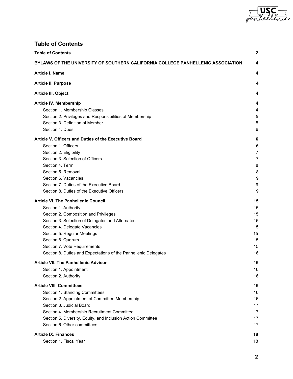

# <span id="page-1-0"></span>**Table of Contents**

| <b>Table of Contents</b>                                                        | 2  |
|---------------------------------------------------------------------------------|----|
| BYLAWS OF THE UNIVERSITY OF SOUTHERN CALIFORNIA COLLEGE PANHELLENIC ASSOCIATION | 4  |
| <b>Article I. Name</b>                                                          | 4  |
| <b>Article II. Purpose</b>                                                      | 4  |
| Article III. Object                                                             | 4  |
| Article IV. Membership                                                          | 4  |
| Section 1. Membership Classes                                                   | 4  |
| Section 2. Privileges and Responsibilities of Membership                        | 5  |
| Section 3. Definition of Member                                                 | 5  |
| Section 4. Dues                                                                 | 6  |
| Article V. Officers and Duties of the Executive Board                           | 6  |
| Section 1. Officers                                                             | 6  |
| Section 2. Eligibility                                                          | 7  |
| Section 3. Selection of Officers                                                | 7  |
| Section 4. Term                                                                 | 8  |
| Section 5. Removal                                                              | 8  |
| Section 6. Vacancies                                                            | 9  |
| Section 7. Duties of the Executive Board                                        | 9  |
| Section 8. Duties of the Executive Officers                                     | 9  |
| <b>Article VI. The Panhellenic Council</b>                                      | 15 |
| Section 1. Authority                                                            | 15 |
| Section 2. Composition and Privileges                                           | 15 |
| Section 3. Selection of Delegates and Alternates                                | 15 |
| Section 4. Delegate Vacancies                                                   | 15 |
| Section 5. Regular Meetings                                                     | 15 |
| Section 6. Quorum                                                               | 15 |
| Section 7. Vote Requirements                                                    | 15 |
| Section 8. Duties and Expectations of the Panhellenic Delegates                 | 16 |
| <b>Article VII. The Panhellenic Advisor</b>                                     | 16 |
| Section 1. Appointment                                                          | 16 |
| Section 2. Authority                                                            | 16 |
| <b>Article VIII. Committees</b>                                                 | 16 |
| Section 1. Standing Committees                                                  | 16 |
| Section 2. Appointment of Committee Membership                                  | 16 |
| Section 3. Judicial Board                                                       | 17 |
| Section 4. Membership Recruitment Committee                                     | 17 |
| Section 5. Diversity, Equity, and Inclusion Action Committee                    | 17 |
| Section 6. Other committees                                                     | 17 |
| <b>Article IX. Finances</b>                                                     | 18 |
| Section 1. Fiscal Year                                                          | 18 |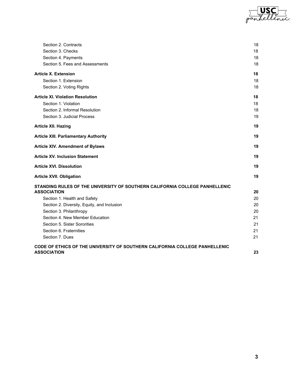

| Section 2. Contracts                                                                              | 18 |
|---------------------------------------------------------------------------------------------------|----|
| Section 3. Checks                                                                                 | 18 |
| Section 4. Payments                                                                               | 18 |
| Section 5. Fees and Assessments                                                                   | 18 |
| <b>Article X. Extension</b>                                                                       | 18 |
| Section 1. Extension                                                                              | 18 |
| Section 2. Voting Rights                                                                          | 18 |
| <b>Article XI. Violation Resolution</b>                                                           | 18 |
| Section 1. Violation                                                                              | 18 |
| Section 2. Informal Resolution                                                                    | 18 |
| Section 3. Judicial Process                                                                       | 19 |
| <b>Article XII. Hazing</b>                                                                        | 19 |
| <b>Article XIII. Parliamentary Authority</b>                                                      | 19 |
| <b>Article XIV. Amendment of Bylaws</b>                                                           | 19 |
| <b>Article XV. Inclusion Statement</b>                                                            | 19 |
| <b>Article XVI. Dissolution</b>                                                                   | 19 |
| <b>Article XVII. Obligation</b>                                                                   | 19 |
| STANDING RULES OF THE UNIVERSITY OF SOUTHERN CALIFORNIA COLLEGE PANHELLENIC                       |    |
| <b>ASSOCIATION</b>                                                                                | 20 |
| Section 1. Health and Safety                                                                      | 20 |
| Section 2. Diversity, Equity, and Inclusion                                                       | 20 |
| Section 3. Philanthropy                                                                           | 20 |
| Section 4. New Member Education                                                                   | 21 |
| Section 5. Sister Sororities                                                                      | 21 |
| Section 6. Fraternities                                                                           | 21 |
| Section 7. Dues                                                                                   | 21 |
| CODE OF ETHICS OF THE UNIVERSITY OF SOUTHERN CALIFORNIA COLLEGE PANHELLENIC<br><b>ASSOCIATION</b> | 23 |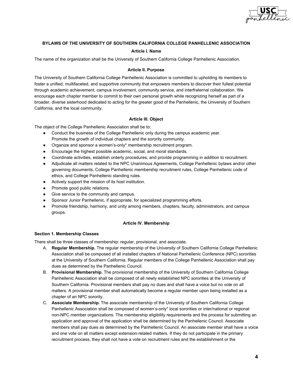

# <span id="page-3-0"></span>**BYLAWS OF THE UNIVERSITY OF SOUTHERN CALIFORNIA COLLEGE PANHELLENIC ASSOCIATION**

#### **Article I. Name**

<span id="page-3-2"></span><span id="page-3-1"></span>The name of the organization shall be the University of Southern California College Panhellenic Association.

#### **Article II. Purpose**

The University of Southern California College Panhellenic Association is committed to upholding its members to foster a unified, multifaceted, and supportive community that empowers members to discover their fullest potential through academic achievement, campus involvement, community service, and interfraternal collaboration. We encourage each chapter member to commit to their own personal growth while recognizing herself as part of a broader, diverse sisterhood dedicated to acting for the greater good of the Panhellenic, the University of Southern California, and the local community.

#### **Article III. Object**

<span id="page-3-3"></span>The object of the College Panhellenic Association shall be to:

- Conduct the business of the College Panhellenic only during the campus academic year. Promote the growth of individual chapters and the sorority community.
- Organize and sponsor a women's-only\* membership recruitment program.
- Encourage the highest possible academic, social, and moral standards.
- Coordinate activities, establish orderly procedures, and provide programming in addition to recruitment.
- Adjudicate all matters related to the NPC Unanimous Agreements, College Panhellenic bylaws and/or other governing documents, College Panhellenic membership recruitment rules, College Panhellenic code of ethics, and College Panhellenic standing rules.
- Actively support the mission of its host institution.
- Promote good public relations.
- Give service to the community and campus.
- Sponsor Junior Panhellenic, if appropriate, for specialized programming efforts.
- <span id="page-3-4"></span>● Promote friendship, harmony, and unity among members, chapters, faculty, administrators, and campus groups.

#### **Article IV. Membership**

#### <span id="page-3-5"></span>**Section 1. Membership Classes**

There shall be three classes of membership: regular, provisional, and associate.

- A. **Regular Membership.** The regular membership of the University of Southern California College Panhellenic Association shall be composed of all installed chapters of National Panhellenic Conference (NPC) sororities at the University of Southern California. Regular members of the College Panhellenic Association shall pay dues as determined by the Panhellenic Council.
- B. **Provisional Membership.** The provisional membership of the University of Southern California College Panhellenic Association shall be composed of all newly established NPC sororities at the University of Southern California. Provisional members shall pay no dues and shall have a voice but no vote on all matters. A provisional member shall automatically become a regular member upon being installed as a chapter of an NPC sorority.
- C. **Associate Membership.** The associate membership of the University of Southern California College Panhellenic Association shall be composed of women's-only\* local sororities or inter/national or regional non-NPC member organizations. The membership eligibility requirements and the process for submitting an application and approval of the application shall be determined by the Panhellenic Council. Associate members shall pay dues as determined by the Panhellenic Council. An associate member shall have a voice and one vote on all matters except extension-related matters. If they do not participate in the primary recruitment process, they shall not have a vote on recruitment rules and the establishment or the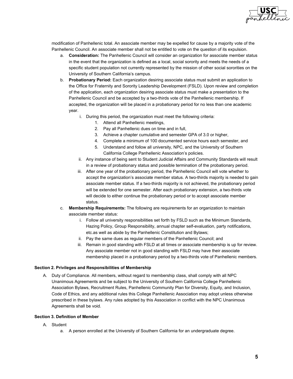

modification of Panhellenic total. An associate member may be expelled for cause by a majority vote of the Panhellenic Council. An associate member shall not be entitled to vote on the question of its expulsion.

- a. **Consideration:** The Panhellenic Council will consider an organization for associate member status in the event that the organization is defined as a local, social sorority and meets the needs of a specific student population not currently represented by the mission of other social sororities on the University of Southern California's campus.
- b. **Probationary Period:** Each organization desiring associate status must submit an application to the Office for Fraternity and Sorority Leadership Development (FSLD). Upon review and completion of the application, each organization desiring associate status must make a presentation to the Panhellenic Council and be accepted by a two-thirds vote of the Panhellenic membership. If accepted, the organization will be placed in a probationary period for no less than one academic year.
	- i. During this period, the organization must meet the following criteria:
		- 1. Attend all Panhellenic meetings,
		- 2. Pay all Panhellenic dues on time and in full,
		- 3. Achieve a chapter cumulative and semester GPA of 3.0 or higher,
		- 4. Complete a minimum of 100 documented service hours each semester, and
		- 5. Understand and follow all university, NPC, and the University of Southern California College Panhellenic Association's policies.
	- ii. Any instance of being sent to Student Judicial Affairs and Community Standards will result in a review of probationary status and possible termination of the probationary period.
	- iii. After one year of the probationary period, the Panhellenic Council will vote whether to accept the organization's associate member status. A two-thirds majority is needed to gain associate member status. If a two-thirds majority is not achieved, the probationary period will be extended for one semester. After each probationary extension, a two-thirds vote will decide to either continue the probationary period or to accept associate member status.
- c. **Membership Requirements:** The following are requirements for an organization to maintain associate member status:
	- i. Follow all university responsibilities set forth by FSLD such as the Minimum Standards, Hazing Policy, Group Responsibility, annual chapter self-evaluation, party notifications, etc.as well as abide by the Panhellenic Constitution and Bylaws;
	- ii. Pay the same dues as regular members of the Panhellenic Council; and
	- iii. Remain in good standing with FSLD at all times or associate membership is up for review. Any associate member not in good standing with FSLD may have their associate membership placed in a probationary period by a two-thirds vote of Panhellenic members.

#### <span id="page-4-0"></span>**Section 2. Privileges and Responsibilities of Membership**

A. Duty of Compliance. All members, without regard to membership class, shall comply with all NPC Unanimous Agreements and be subject to the University of Southern California College Panhellenic Association Bylaws, Recruitment Rules, Panhellenic Community Plan for Diversity, Equity, and Inclusion, Code of Ethics, and any additional rules this College Panhellenic Association may adopt unless otherwise prescribed in these bylaws. Any rules adopted by this Association in conflict with the NPC Unanimous Agreements shall be void.

# <span id="page-4-1"></span>**Section 3. Definition of Member**

- A. Student
	- a. A person enrolled at the University of Southern California for an undergraduate degree.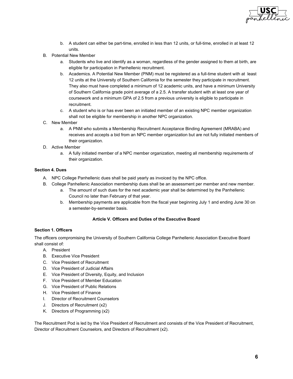

- b. A student can either be part-time, enrolled in less than 12 units, or full-time, enrolled in at least 12 units.
- B. Potential New Member
	- a. Students who live and identify as a woman, regardless of the gender assigned to them at birth, are eligible for participation in Panhellenic recruitment.
	- b. Academics. A Potential New Member (PNM) must be registered as a full-time student with at least 12 units at the University of Southern California for the semester they participate in recruitment. They also must have completed a minimum of 12 academic units, and have a minimum University of Southern California grade point average of a 2.5. A transfer student with at least one year of coursework and a minimum GPA of 2.5 from a previous university is eligible to participate in recruitment.
	- c. A student who is or has ever been an initiated member of an existing NPC member organization shall not be eligible for membership in another NPC organization.
- C. New Member
	- a. A PNM who submits a Membership Recruitment Acceptance Binding Agreement (MRABA) and receives and accepts a bid from an NPC member organization but are not fully initiated members of their organization.
- D. Active Member
	- a. A fully initiated member of a NPC member organization, meeting all membership requirements of their organization.

# <span id="page-5-0"></span>**Section 4. Dues**

- A. NPC College Panhellenic dues shall be paid yearly as invoiced by the NPC office.
- B. College Panhellenic Association membership dues shall be an assessment per member and new member.
	- a. The amount of such dues for the next academic year shall be determined by the Panhellenic Council no later than February of that year.
	- b. Membership payments are applicable from the fiscal year beginning July 1 and ending June 30 on a semester-by-semester basis.

#### **Article V. Officers and Duties of the Executive Board**

#### <span id="page-5-2"></span><span id="page-5-1"></span>**Section 1. Officers**

The officers compromising the University of Southern California College Panhellenic Association Executive Board shall consist of:

- A. President
- B. Executive Vice President
- C. Vice President of Recruitment
- D. Vice President of Judicial Affairs
- E. Vice President of Diversity, Equity, and Inclusion
- F. Vice President of Member Education
- G. Vice President of Public Relations
- H. Vice President of Finance
- I. Director of Recruitment Counselors
- J. Directors of Recruitment (x2)
- K. Directors of Programming (x2)

The Recruitment Pod is led by the Vice President of Recruitment and consists of the Vice President of Recruitment, Director of Recruitment Counselors, and Directors of Recruitment (x2).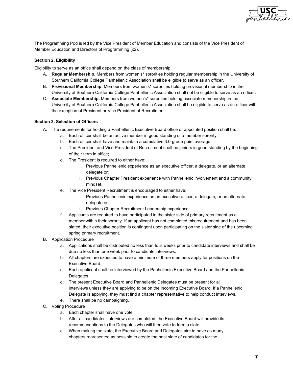

The Programming Pod is led by the Vice President of Member Education and consists of the Vice President of Member Education and Directors of Programming (x2).

# <span id="page-6-0"></span>**Section 2. Eligibility**

Eligibility to serve as an office shall depend on the class of membership:

- A. **Regular Membership.** Members from women's\* sororities holding regular membership in the University of Southern California College Panhellenic Association shall be eligible to serve as an officer.
- B. **Provisional Membership.** Members from women's\* sororities holding provisional membership in the University of Southern California College Panhellenic Association shall not be eligible to serve as an officer.
- C. **Associate Membership.** Members from women's\* sororities holding associate membership in the University of Southern California College Panhellenic Association shall be eligible to serve as an officer with the exception of President or Vice President of Recruitment.

# <span id="page-6-1"></span>**Section 3. Selection of Officers**

- A. The requirements for holding a Panhellenic Executive Board office or appointed position shall be:
	- a. Each officer shall be an active member in good standing of a member sorority;
	- b. Each officer shall have and maintain a cumulative 3.0-grade point average;
	- c. The President and Vice President of Recruitment shall be juniors in good standing by the beginning of their term in office;
	- d. The President is required to either have:
		- i. Previous Panhellenic experience as an executive officer, a delegate, or an alternate delegate or;
		- ii. Previous Chapter President experience with Panhellenic involvement and a community mindset.
	- e. The Vice President Recruitment is encouraged to either have:
		- i. Previous Panhellenic experience as an executive officer, a delegate, or an alternate delegate or;
		- ii. Previous Chapter Recruitment Leadership experience.
	- f. Applicants are required to have participated in the sister side of primary recruitment as a member within their sorority. If an applicant has not completed this requirement and has been slated, their executive position is contingent upon participating on the sister side of the upcoming spring primary recruitment.
- B. Application Procedure
	- a. Applications shall be distributed no less than four weeks prior to candidate interviews and shall be due no less than one week prior to candidate interviews.
	- b. All chapters are expected to have a minimum of three members apply for positions on the Executive Board.
	- c. Each applicant shall be interviewed by the Panhellenic Executive Board and the Panhellenic Delegates.
	- d. The present Executive Board and Panhellenic Delegates must be present for all interviews unless they are applying to be on the incoming Executive Board. If a Panhellenic Delegate is applying, they must find a chapter representative to help conduct interviews.
	- e. There shall be no campaigning.
- C. Voting Procedure
	- a. Each chapter shall have one vote.
	- b. After all candidates' interviews are completed, the Executive Board will provide its recommendations to the Delegates who will then vote to form a slate.
	- c. When making the slate, the Executive Board and Delegates aim to have as many chapters represented as possible to create the best slate of candidates for the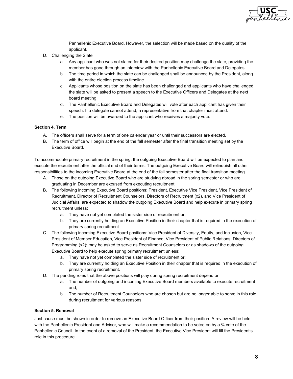

Panhellenic Executive Board. However, the selection will be made based on the quality of the applicant.

- D. Challenging the Slate
	- a. Any applicant who was not slated for their desired position may challenge the slate, providing the member has gone through an interview with the Panhellenic Executive Board and Delegates.
	- b. The time period in which the slate can be challenged shall be announced by the President, along with the entire election process timeline.
	- c. Applicants whose position on the slate has been challenged and applicants who have challenged the slate will be asked to present a speech to the Executive Officers and Delegates at the next board meeting.
	- d. The Panhellenic Executive Board and Delegates will vote after each applicant has given their speech. If a delegate cannot attend, a representative from that chapter must attend.
	- e. The position will be awarded to the applicant who receives a majority vote.

# <span id="page-7-0"></span>**Section 4. Term**

- A. The officers shall serve for a term of one calendar year or until their successors are elected.
- B. The term of office will begin at the end of the fall semester after the final transition meeting set by the Executive Board.

To accommodate primary recruitment in the spring, the outgoing Executive Board will be expected to plan and execute the recruitment after the official end of their terms. The outgoing Executive Board will relinquish all other responsibilities to the incoming Executive Board at the end of the fall semester after the final transition meeting.

- A. Those on the outgoing Executive Board who are studying abroad in the spring semester or who are graduating in December are excused from executing recruitment.
- B. The following incoming Executive Board positions: President, Executive Vice President, Vice President of Recruitment, Director of Recruitment Counselors, Directors of Recruitment (x2), and Vice President of Judicial Affairs, are expected to shadow the outgoing Executive Board and help execute in primary spring recruitment unless:
	- a. They have not yet completed the sister side of recruitment or;
	- b. They are currently holding an Executive Position in their chapter that is required in the execution of primary spring recruitment.
- C. The following incoming Executive Board positions: Vice President of Diversity, Equity, and Inclusion, Vice President of Member Education, Vice President of Finance, Vice President of Public Relations, Directors of Programming (x2); may be asked to serve as Recruitment Counselors or as shadows of the outgoing Executive Board to help execute spring primary recruitment unless:
	- a. They have not yet completed the sister side of recruitment or;
	- b. They are currently holding an Executive Position in their chapter that is required in the execution of primary spring recruitment.
- D. The pending roles that the above positions will play during spring recruitment depend on:
	- a. The number of outgoing and incoming Executive Board members available to execute recruitment and;
	- b. The number of Recruitment Counselors who are chosen but are no longer able to serve in this role during recruitment for various reasons.

# <span id="page-7-1"></span>**Section 5. Removal**

Just cause must be shown in order to remove an Executive Board Officer from their position. A review will be held with the Panhellenic President and Advisor, who will make a recommendation to be voted on by a  $\frac{3}{4}$  vote of the Panhellenic Council. In the event of a removal of the President, the Executive Vice President will fill the President's role in this procedure.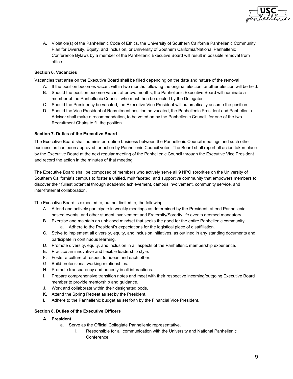

A. Violation(s) of the Panhellenic Code of Ethics, the University of Southern California Panhellenic Community Plan for Diversity, Equity, and Inclusion, or University of Southern California/National Panhellenic Conference Bylaws by a member of the Panhellenic Executive Board will result in possible removal from office.

# <span id="page-8-0"></span>**Section 6. Vacancies**

Vacancies that arise on the Executive Board shall be filled depending on the date and nature of the removal.

- A. If the position becomes vacant within two months following the original election, another election will be held.
- B. Should the position become vacant after two months, the Panhellenic Executive Board will nominate a member of the Panhellenic Council, who must then be elected by the Delegates.
- C. Should the Presidency be vacated, the Executive Vice President will automatically assume the position.
- D. Should the Vice President of Recruitment position be vacated, the Panhellenic President and Panhellenic Advisor shall make a recommendation, to be voted on by the Panhellenic Council, for one of the two Recruitment Chairs to fill the position.

# <span id="page-8-1"></span>**Section 7. Duties of the Executive Board**

The Executive Board shall administer routine business between the Panhellenic Council meetings and such other business as has been approved for action by Panhellenic Council votes. The Board shall report all action taken place by the Executive Board at the next regular meeting of the Panhellenic Council through the Executive Vice President and record the action in the minutes of that meeting.

The Executive Board shall be composed of members who actively serve all 9 NPC sororities on the University of Southern California's campus to foster a unified, multifaceted, and supportive community that empowers members to discover their fullest potential through academic achievement, campus involvement, community service, and inter-fraternal collaboration.

The Executive Board is expected to, but not limited to, the following:

- A. Attend and actively participate in weekly meetings as determined by the President, attend Panhellenic hosted events, and other student involvement and Fraternity/Sorority life events deemed mandatory.
- B. Exercise and maintain an unbiased mindset that seeks the good for the entire Panhellenic community. a. Adhere to the President's expectations for the logistical piece of disaffiliation.
- C. Strive to implement all diversity, equity, and inclusion initiatives, as outlined in any standing documents and participate in continuous learning.
- D. Promote diversity, equity, and inclusion in all aspects of the Panhellenic membership experience.
- E. Practice an innovative and flexible leadership style.
- F. Foster a culture of respect for ideas and each other.
- G. Build professional working relationships.
- H. Promote transparency and honesty in all interactions.
- I. Prepare comprehensive transition notes and meet with their respective incoming/outgoing Executive Board member to provide mentorship and guidance.
- J. Work and collaborate within their designated pods.
- K. Attend the Spring Retreat as set by the President.
- L. Adhere to the Panhellenic budget as set forth by the Financial Vice President.

# <span id="page-8-2"></span>**Section 8. Duties of the Executive Officers**

- **A. President**
	- a. Serve as the Official Collegiate Panhellenic representative.
		- i. Responsible for all communication with the University and National Panhellenic Conference.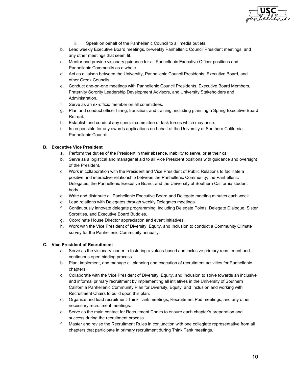

- ii. Speak on behalf of the Panhellenic Council to all media outlets.
- b. Lead weekly Executive Board meetings, bi-weekly Panhellenic Council President meetings, and any other meetings that seem fit.
- c. Mentor and provide visionary guidance for all Panhellenic Executive Officer positions and Panhellenic Community as a whole.
- d. Act as a liaison between the University, Panhellenic Council Presidents, Executive Board, and other Greek Councils.
- e. Conduct one-on-one meetings with Panhellenic Council Presidents, Executive Board Members, Fraternity Sorority Leadership Development Advisors, and University Stakeholders and Administration.
- f. Serve as an ex-officio member on all committees.
- g. Plan and conduct officer hiring, transition, and training, including planning a Spring Executive Board Retreat.
- h. Establish and conduct any special committee or task forces which may arise.
- i. Is responsible for any awards applications on behalf of the University of Southern California Panhellenic Council.

# **B. Executive Vice President**

- a. Perform the duties of the President in their absence, inability to serve, or at their call.
- b. Serve as a logistical and managerial aid to all Vice President positions with guidance and oversight of the President.
- c. Work in collaboration with the President and Vice President of Public Relations to facilitate a positive and interactive relationship between the Panhellenic Community, the Panhellenic Delegates, the Panhellenic Executive Board, and the University of Southern California student body.
- d. Write and distribute all Panhellenic Executive Board and Delegate meeting minutes each week.
- e. Lead relations with Delegates through weekly Delegates meetings.
- f. Continuously innovate delegate programming, including Delegate Points, Delegate Dialogue, Sister Sororities, and Executive Board Buddies.
- g. Coordinate House Director appreciation and event initiatives.
- h. Work with the Vice President of Diversity, Equity, and Inclusion to conduct a Community Climate survey for the Panhellenic Community annually.

# **C. Vice President of Recruitment**

- a. Serve as the visionary leader in fostering a values-based and inclusive primary recruitment and continuous open bidding process.
- b. Plan, implement, and manage all planning and execution of recruitment activities for Panhellenic chapters.
- c. Collaborate with the Vice President of Diversity, Equity, and Inclusion to strive towards an inclusive and informal primary recruitment by implementing all initiatives in the University of Southern California Panhellenic Community Plan for Diversity, Equity, and Inclusion and working with Recruitment Chairs to build upon this plan.
- d. Organize and lead recruitment Think Tank meetings, Recruitment Pod meetings, and any other necessary recruitment meetings.
- e. Serve as the main contact for Recruitment Chairs to ensure each chapter's preparation and success during the recruitment process.
- f. Master and revise the Recruitment Rules in conjunction with one collegiate representative from all chapters that participate in primary recruitment during Think Tank meetings.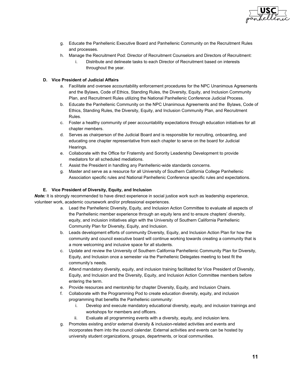

- g. Educate the Panhellenic Executive Board and Panhellenic Community on the Recruitment Rules and processes.
- h. Manage the Recruitment Pod: Director of Recruitment Counselors and Directors of Recruitment: i. Distribute and delineate tasks to each Director of Recruitment based on interests throughout the year.

# **D. Vice President of Judicial Affairs**

- a. Facilitate and oversee accountability enforcement procedures for the NPC Unanimous Agreements and the Bylaws, Code of Ethics, Standing Rules, the Diversity, Equity, and Inclusion Community Plan, and Recruitment Rules utilizing the National Panhellenic Conference Judicial Process.
- b. Educate the Panhellenic Community on the NPC Unanimous Agreements and the Bylaws, Code of Ethics, Standing Rules, the Diversity, Equity, and Inclusion Community Plan, and Recruitment Rules.
- c. Foster a healthy community of peer accountability expectations through education initiatives for all chapter members.
- d. Serves as chairperson of the Judicial Board and is responsible for recruiting, onboarding, and educating one chapter representative from each chapter to serve on the board for Judicial Hearings.
- e. Collaborate with the Office for Fraternity and Sorority Leadership Development to provide mediators for all scheduled mediations.
- f. Assist the President in handling any Panhellenic-wide standards concerns.
- g. Master and serve as a resource for all University of Southern California College Panhellenic Association specific rules and National Panhellenic Conference specific rules and expectations.

# **E. Vice President of Diversity, Equity, and Inclusion**

*Note:* It is strongly recommended to have direct experience in social justice work such as leadership experience, volunteer work, academic coursework and/or professional experiences.

- a. Lead the Panhellenic Diversity, Equity, and Inclusion Action Committee to evaluate all aspects of the Panhellenic member experience through an equity lens and to ensure chapters' diversity, equity, and inclusion initiatives align with the University of Southern California Panhellenic Community Plan for Diversity, Equity, and Inclusion.
- b. Leads development efforts of community Diversity, Equity, and Inclusion Action Plan for how the community and council executive board will continue working towards creating a community that is a more welcoming and inclusive space for all students.
- c. Update and review the University of Southern California Panhellenic Community Plan for Diversity, Equity, and Inclusion once a semester via the Panhellenic Delegates meeting to best fit the community's needs.
- d. Attend mandatory diversity, equity, and inclusion training facilitated for Vice President of Diversity, Equity, and Inclusion and the Diversity, Equity, and Inclusion Action Committee members before entering the term.
- e. Provide resources and mentorship for chapter Diversity, Equity, and Inclusion Chairs.
- f. Collaborate with the Programming Pod to create education diversity, equity, and inclusion programming that benefits the Panhellenic community:
	- i. Develop and execute mandatory educational diversity, equity, and inclusion trainings and workshops for members and officers.
	- ii. Evaluate all programming events with a diversity, equity, and inclusion lens.
- g. Promotes existing and/or external diversity & inclusion-related activities and events and incorporates them into the council calendar. External activities and events can be hosted by university student organizations, groups, departments, or local communities.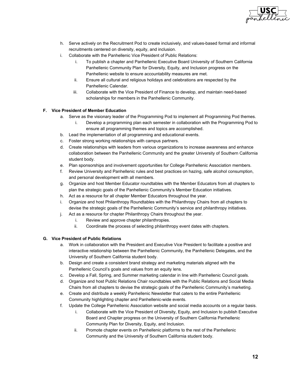

- h. Serve actively on the Recruitment Pod to create inclusively, and values-based formal and informal recruitments centered on diversity, equity, and inclusion.
- i. Collaborate with the Panhellenic Vice President of Public Relations:
	- i. To publish a chapter and Panhellenic Executive Board University of Southern California Panhellenic Community Plan for Diversity, Equity, and Inclusion progress on the Panhellenic website to ensure accountability measures are met.
	- ii. Ensure all cultural and religious holidays and celebrations are respected by the Panhellenic Calendar.
	- iii. Collaborate with the Vice President of Finance to develop, and maintain need-based scholarships for members in the Panhellenic Community.

# **F. Vice President of Member Education**

- a. Serve as the visionary leader of the Programming Pod to implement all Programming Pod themes.
	- i. Develop a programming plan each semester in collaboration with the Programming Pod to ensure all programming themes and topics are accomplished.
- b. Lead the implementation of all programming and educational events.
- c. Foster strong working relationships with campus partners.
- d. Create relationships with leaders from various organizations to increase awareness and enhance collaboration between the Panhellenic Community and the greater University of Southern California student body.
- e. Plan sponsorships and involvement opportunities for College Panhellenic Association members.
- f. Review University and Panhellenic rules and best practices on hazing, safe alcohol consumption, and personal development with all members.
- g. Organize and host Member Educator roundtables with the Member Educators from all chapters to plan the strategic goals of the Panhellenic Community's Member Education initiatives.
- h. Act as a resource for all chapter Member Educators throughout the year.
- i. Organize and host Philanthropy Roundtables with the Philanthropy Chairs from all chapters to devise the strategic goals of the Panhellenic Community's service and philanthropy initiatives.
- j. Act as a resource for chapter Philanthropy Chairs throughout the year.
	- i. Review and approve chapter philanthropies.
	- ii. Coordinate the process of selecting philanthropy event dates with chapters.

# **G. Vice President of Public Relations**

- a. Work in collaboration with the President and Executive Vice President to facilitate a positive and interactive relationship between the Panhellenic Community, the Panhellenic Delegates, and the University of Southern California student body.
- b. Design and create a consistent brand strategy and marketing materials aligned with the Panhellenic Council's goals and values from an equity lens.
- c. Develop a Fall, Spring, and Summer marketing calendar in line with Panhellenic Council goals.
- d. Organize and host Public Relations Chair roundtables with the Public Relations and Social Media Chairs from all chapters to devise the strategic goals of the Panhellenic Community's marketing.
- e. Create and distribute a weekly Panhellenic Newsletter that caters to the entire Panhellenic Community highlighting chapter and Panhellenic-wide events.
- f. Update the College Panhellenic Association website and social media accounts on a regular basis.
	- i. Collaborate with the Vice President of Diversity, Equity, and Inclusion to publish Executive Board and Chapter progress on the University of Southern California Panhellenic Community Plan for Diversity, Equity, and Inclusion.
	- ii. Promote chapter events on Panhellenic platforms to the rest of the Panhellenic Community and the University of Southern California student body.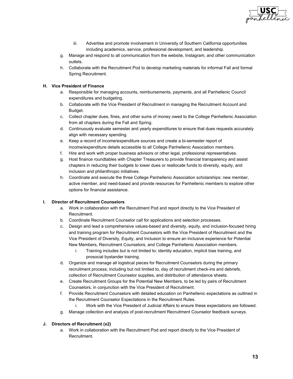

- iii. Advertise and promote involvement in University of Southern California opportunities including academics, service, professional development, and leadership.
- g. Manage and respond to all communication from the website, Instagram, and other communication outlets.
- h. Collaborate with the Recruitment Pod to develop marketing materials for informal Fall and formal Spring Recruitment.

# **H. Vice President of Finance**

- a. Responsible for managing accounts, reimbursements, payments, and all Panhellenic Council expenditures and budgeting.
- b. Collaborate with the Vice President of Recruitment in managing the Recruitment Account and Budget.
- c. Collect chapter dues, fines, and other sums of money owed to the College Panhellenic Association from all chapters during the Fall and Spring.
- d. Continuously evaluate semester and yearly expenditures to ensure that dues requests accurately align with necessary spending.
- e. Keep a record of income/expenditure sources and create a bi-semester report of income/expenditure details accessible to all College Panhellenic Association members.
- f. Hire and work with proper business advisors or other legal, professional representatives.
- g. Host finance roundtables with Chapter Treasurers to provide financial transparency and assist chapters in reducing their budgets to lower dues or reallocate funds to diversity, equity, and inclusion and philanthropic initiatives.
- h. Coordinate and execute the three College Panhellenic Association scholarships: new member, active member, and need-based and provide resources for Panhellenic members to explore other options for financial assistance.

#### **I. Director of Recruitment Counselors**

- a. Work in collaboration with the Recruitment Pod and report directly to the Vice President of Recruitment.
- b. Coordinate Recruitment Counselor call for applications and selection processes.
- c. Design and lead a comprehensive values-based and diversity, equity, and inclusion-focused hiring and training program for Recruitment Counselors with the Vice President of Recruitment and the Vice President of Diversity, Equity, and Inclusion to ensure an inclusive experience for Potential New Members, Recruitment Counselors, and College Panhellenic Association members.
	- i. Training includes but is not limited to: identity education, implicit bias training, and prosocial bystander training.
- d. Organize and manage all logistical pieces for Recruitment Counselors during the primary recruitment process; including but not limited to, day of recruitment check-ins and debriefs, collection of Recruitment Counselor supplies, and distribution of attendance sheets.
- e. Create Recruitment Groups for the Potential New Members, to be led by pairs of Recruitment Counselors, in conjunction with the Vice President of Recruitment.
- f. Provide Recruitment Counselors with detailed education on Panhellenic expectations as outlined in the Recruitment Counselor Expectations in the Recruitment Rules.
	- i. Work with the Vice President of Judicial Affairs to ensure these expectations are followed.
- g. Manage collection and analysis of post-recruitment Recruitment Counselor feedback surveys.

# **J. Directors of Recruitment (x2)**

a. Work in collaboration with the Recruitment Pod and report directly to the Vice President of Recruitment.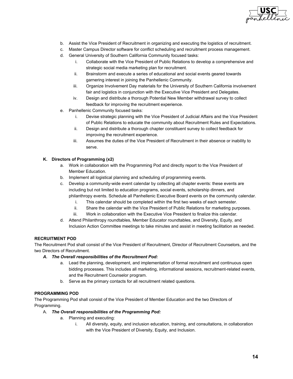

- b. Assist the Vice President of Recruitment in organizing and executing the logistics of recruitment.
- c. Master Campus Director software for conflict scheduling and recruitment process management.
- d. General University of Southern California Community focused tasks:
	- i. Collaborate with the Vice President of Public Relations to develop a comprehensive and strategic social media marketing plan for recruitment.
	- ii. Brainstorm and execute a series of educational and social events geared towards garnering interest in joining the Panhellenic Community.
	- iii. Organize Involvement Day materials for the University of Southern California involvement fair and logistics in conjunction with the Executive Vice President and Delegates.
	- iv. Design and distribute a thorough Potential New Member withdrawal survey to collect feedback for improving the recruitment experience.
- e. Panhellenic Community focused tasks:
	- i. Devise strategic planning with the Vice President of Judicial Affairs and the Vice President of Public Relations to educate the community about Recruitment Rules and Expectations.
	- ii. Design and distribute a thorough chapter constituent survey to collect feedback for improving the recruitment experience.
	- iii. Assumes the duties of the Vice President of Recruitment in their absence or inability to serve.

# **K. Directors of Programming (x2)**

- a. Work in collaboration with the Programming Pod and directly report to the Vice President of Member Education.
- b. Implement all logistical planning and scheduling of programming events.
- c. Develop a community-wide event calendar by collecting all chapter events: these events are including but not limited to education programs, social events, scholarship dinners, and philanthropy events. Schedule all Panhellenic Executive Board events on the community calendar.
	- i. This calendar should be completed within the first two weeks of each semester.
	- ii. Share the calendar with the Vice President of Public Relations for marketing purposes.
	- iii. Work in collaboration with the Executive Vice President to finalize this calendar.
- d. Attend Philanthropy roundtables, Member Educator roundtables, and Diversity, Equity, and Inclusion Action Committee meetings to take minutes and assist in meeting facilitation as needed.

# **RECRUITMENT POD**

The Recruitment Pod shall consist of the Vice President of Recruitment, Director of Recruitment Counselors, and the two Directors of Recruitment.

- *A. The Overall responsibilities of the Recruitment Pod:*
	- a. Lead the planning, development, and implementation of formal recruitment and continuous open bidding processes. This includes all marketing, informational sessions, recruitment-related events, and the Recruitment Counselor program.
	- b. Serve as the primary contacts for all recruitment related questions.

# **PROGRAMMING POD**

The Programming Pod shall consist of the Vice President of Member Education and the two Directors of Programming.

- A. *The Overall responsibilities of the Programming Pod:*
	- a. Planning and executing:
		- i. All diversity, equity, and inclusion education, training, and consultations, in collaboration with the Vice President of Diversity, Equity, and Inclusion.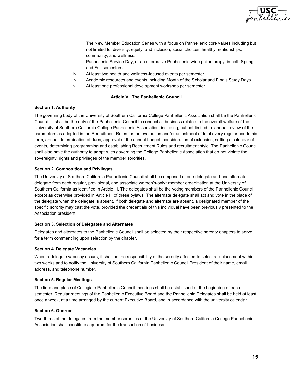

- ii. The New Member Education Series with a focus on Panhellenic core values including but not limited to: diversity, equity, and inclusion, social choices, healthy relationships, community, and wellness.
- iii. Panhellenic Service Day, or an alternative Panhellenic-wide philanthropy, in both Spring and Fall semesters.
- iv. At least two health and wellness-focused events per semester.
- v. Academic resources and events including Month of the Scholar and Finals Study Days.
- vi. At least one professional development workshop per semester.

# **Article VI. The Panhellenic Council**

# <span id="page-14-1"></span><span id="page-14-0"></span>**Section 1. Authority**

The governing body of the University of Southern California College Panhellenic Association shall be the Panhellenic Council. It shall be the duty of the Panhellenic Council to conduct all business related to the overall welfare of the University of Southern California College Panhellenic Association, including, but not limited to: annual review of the parameters as adopted in the Recruitment Rules for the evaluation and/or adjustment of total every regular academic term, annual determination of dues, approval of the annual budget, consideration of extension, setting a calendar of events, determining programming and establishing Recruitment Rules and recruitment style. The Panhellenic Council shall also have the authority to adopt rules governing the College Panhellenic Association that do not violate the sovereignty, rights and privileges of the member sororities.

# <span id="page-14-2"></span>**Section 2. Composition and Privileges**

The University of Southern California Panhellenic Council shall be composed of one delegate and one alternate delegate from each regular, provisional, and associate women's-only\* member organization at the University of Southern California as identified in Article III. The delegates shall be the voting members of the Panhellenic Council except as otherwise provided in Article III of these bylaws. The alternate delegate shall act and vote in the place of the delegate when the delegate is absent. If both delegate and alternate are absent, a designated member of the specific sorority may cast the vote, provided the credentials of this individual have been previously presented to the Association president.

#### <span id="page-14-3"></span>**Section 3. Selection of Delegates and Alternates**

Delegates and alternates to the Panhellenic Council shall be selected by their respective sorority chapters to serve for a term commencing upon selection by the chapter.

#### <span id="page-14-4"></span>**Section 4. Delegate Vacancies**

When a delegate vacancy occurs, it shall be the responsibility of the sorority affected to select a replacement within two weeks and to notify the University of Southern California Panhellenic Council President of their name, email address, and telephone number.

#### <span id="page-14-5"></span>**Section 5. Regular Meetings**

The time and place of Collegiate Panhellenic Council meetings shall be established at the beginning of each semester. Regular meetings of the Panhellenic Executive Board and the Panhellenic Delegates shall be held at least once a week, at a time arranged by the current Executive Board, and in accordance with the university calendar.

#### <span id="page-14-6"></span>**Section 6. Quorum**

Two-thirds of the delegates from the member sororities of the University of Southern California College Panhellenic Association shall constitute a quorum for the transaction of business.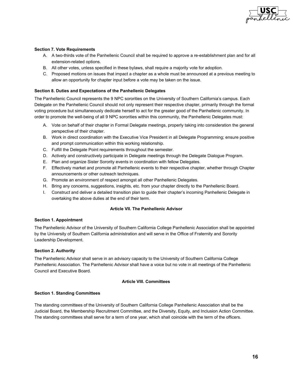

# <span id="page-15-0"></span>**Section 7. Vote Requirements**

- A. A two-thirds vote of the Panhellenic Council shall be required to approve a re-establishment plan and for all extension-related options.
- B. All other votes, unless specified in these bylaws, shall require a majority vote for adoption.
- C. Proposed motions on issues that impact a chapter as a whole must be announced at a previous meeting to allow an opportunity for chapter input before a vote may be taken on the issue.

# <span id="page-15-1"></span>**Section 8. Duties and Expectations of the Panhellenic Delegates**

The Panhellenic Council represents the 9 NPC sororities on the University of Southern California's campus. Each Delegate on the Panhellenic Council should not only represent their respective chapter, primarily through the formal voting procedure but simultaneously dedicate herself to act for the greater good of the Panhellenic community. In order to promote the well-being of all 9 NPC sororities within this community, the Panhellenic Delegates must:

- A. Vote on behalf of their chapter in Formal Delegate meetings, properly taking into consideration the general perspective of their chapter.
- B. Work in direct coordination with the Executive Vice President in all Delegate Programming; ensure positive and prompt communication within this working relationship.
- C. Fulfill the Delegate Point requirements throughout the semester.
- D. Actively and constructively participate in Delegate meetings through the Delegate Dialogue Program.
- E. Plan and organize Sister Sorority events in coordination with fellow Delegates.
- F. Effectively market and promote all Panhellenic events to their respective chapter, whether through Chapter announcements or other outreach techniques.
- G. Promote an environment of respect amongst all other Panhellenic Delegates.
- H. Bring any concerns, suggestions, insights, etc. from your chapter directly to the Panhellenic Board.
- I. Construct and deliver a detailed transition plan to guide their chapter's incoming Panhellenic Delegate in overtaking the above duties at the end of their term.

# **Article VII. The Panhellenic Advisor**

#### <span id="page-15-3"></span><span id="page-15-2"></span>**Section 1. Appointment**

The Panhellenic Advisor of the University of Southern California College Panhellenic Association shall be appointed by the University of Southern California administration and will serve in the Office of Fraternity and Sorority Leadership Development.

#### <span id="page-15-4"></span>**Section 2. Authority**

The Panhellenic Advisor shall serve in an advisory capacity to the University of Southern California College Panhellenic Association. The Panhellenic Advisor shall have a voice but no vote in all meetings of the Panhellenic Council and Executive Board.

#### **Article VIII. Committees**

#### <span id="page-15-6"></span><span id="page-15-5"></span>**Section 1. Standing Committees**

The standing committees of the University of Southern California College Panhellenic Association shall be the Judicial Board, the Membership Recruitment Committee, and the Diversity, Equity, and Inclusion Action Committee. The standing committees shall serve for a term of one year, which shall coincide with the term of the officers.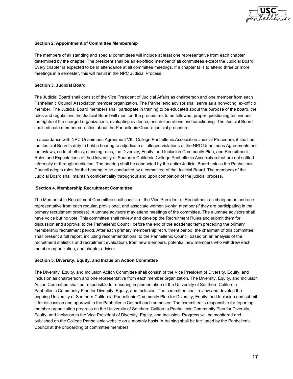

# <span id="page-16-0"></span>**Section 2. Appointment of Committee Membership**

The members of all standing and special committees will include at least one representative from each chapter determined by the chapter. The president shall be an ex-officio member of all committees except the Judicial Board. Every chapter is expected to be in attendance at all committee meetings. If a chapter fails to attend three or more meetings in a semester, this will result in the NPC Judicial Process.

#### <span id="page-16-1"></span>**Section 3. Judicial Board**

The Judicial Board shall consist of the Vice President of Judicial Affairs as chairperson and one member from each Panhellenic Council Association member organization. The Panhellenic advisor shall serve as a nonvoting, ex-officio member. The Judicial Board members shall participate in training to be educated about the purpose of the board, the rules and regulations the Judicial Board will monitor, the procedures to be followed, proper questioning techniques, the rights of the charged organizations, evaluating evidence, and deliberations and sanctioning. The Judicial Board shall educate member sororities about the Panhellenic Council judicial procedure.

In accordance with NPC Unanimous Agreement VII., College Panhellenic Association Judicial Procedure, it shall be the Judicial Board's duty to hold a hearing to adjudicate all alleged violations of the NPC Unanimous Agreements and the bylaws, code of ethics, standing rules, the Diversity, Equity, and Inclusion Community Plan, and Recruitment Rules and Expectations of the University of Southern California College Panhellenic Association that are not settled informally or through mediation. The hearing shall be conducted by the entire Judicial Board unless the Panhellenic Council adopts rules for the hearing to be conducted by a committee of the Judicial Board. The members of the Judicial Board shall maintain confidentiality throughout and upon completion of the judicial process.

#### <span id="page-16-2"></span> **Section 4. Membership Recruitment Committee**

The Membership Recruitment Committee shall consist of the Vice President of Recruitment as chairperson and one representative from each regular, provisional, and associate women's-only\* member (if they are participating in the primary recruitment process). Alumnae advisors may attend meetings of the committee. The alumnae advisors shall have voice but no vote. This committee shall review and develop the Recruitment Rules and submit them for discussion and approval to the Panhellenic Council before the end of the academic term preceding the primary membership recruitment period. After each primary membership recruitment period, the chairman of this committee shall present a full report, including recommendations, to the Panhellenic Council based on an analysis of the recruitment statistics and recruitment evaluations from new members, potential new members who withdrew each member organization, and chapter advisor.

#### <span id="page-16-3"></span>**Section 5. Diversity, Equity, and Inclusion Action Committee**

The Diversity, Equity, and Inclusion Action Committee shall consist of the Vice President of Diversity, Equity, and Inclusion as chairperson and one representative from each member organization. The Diversity, Equity, and Inclusion Action Committee shall be responsible for ensuring implementation of the University of Southern California Panhellenic Community Plan for Diversity, Equity, and Inclusion. The committee shall review and develop the ongoing University of Southern California Panhellenic Community Plan for Diversity, Equity, and Inclusion and submit it for discussion and approval to the Panhellenic Council each semester. The committee is responsible for reporting member organization progress on the University of Southern California Panhellenic Community Plan for Diversity, Equity, and Inclusion to the Vice President of Diversity, Equity, and Inclusion. Progress will be monitored and published on the College Panhellenic website on a monthly basis. A training shall be facilitated by the Panhellenic Council at the onboarding of committee members.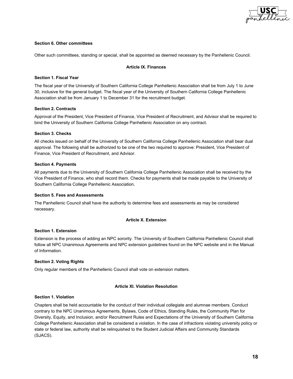

#### <span id="page-17-0"></span>**Section 6. Other committees**

<span id="page-17-1"></span>Other such committees, standing or special, shall be appointed as deemed necessary by the Panhellenic Council.

#### **Article IX. Finances**

#### <span id="page-17-2"></span>**Section 1. Fiscal Year**

The fiscal year of the University of Southern California College Panhellenic Association shall be from July 1 to June 30, inclusive for the general budget. The fiscal year of the University of Southern California College Panhellenic Association shall be from January 1 to December 31 for the recruitment budget.

#### <span id="page-17-3"></span>**Section 2. Contracts**

Approval of the President, Vice President of Finance, Vice President of Recruitment, and Advisor shall be required to bind the University of Southern California College Panhellenic Association on any contract.

# <span id="page-17-4"></span>**Section 3. Checks**

All checks issued on behalf of the University of Southern California College Panhellenic Association shall bear dual approval. The following shall be authorized to be one of the two required to approve: President, Vice President of Finance, Vice President of Recruitment, and Advisor.

# <span id="page-17-5"></span>**Section 4. Payments**

All payments due to the University of Southern California College Panhellenic Association shall be received by the Vice President of Finance, who shall record them. Checks for payments shall be made payable to the University of Southern California College Panhellenic Association.

#### <span id="page-17-6"></span>**Section 5. Fees and Assessments**

<span id="page-17-7"></span>The Panhellenic Council shall have the authority to determine fees and assessments as may be considered necessary.

# **Article X. Extension**

#### <span id="page-17-8"></span>**Section 1. Extension**

Extension is the process of adding an NPC sorority. The University of Southern California Panhellenic Council shall follow all NPC Unanimous Agreements and NPC extension guidelines found on the NPC website and in the Manual of Information.

#### <span id="page-17-9"></span>**Section 2. Voting Rights**

<span id="page-17-10"></span>Only regular members of the Panhellenic Council shall vote on extension matters.

#### **Article XI. Violation Resolution**

#### <span id="page-17-11"></span>**Section 1. Violation**

Chapters shall be held accountable for the conduct of their individual collegiate and alumnae members. Conduct contrary to the NPC Unanimous Agreements, Bylaws, Code of Ethics, Standing Rules, the Community Plan for Diversity, Equity, and Inclusion, and/or Recruitment Rules and Expectations of the University of Southern California College Panhellenic Association shall be considered a violation. In the case of infractions violating university policy or state or federal law, authority shall be relinquished to the Student Judicial Affairs and Community Standards (SJACS).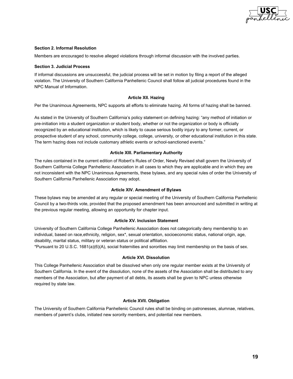

#### <span id="page-18-0"></span>**Section 2. Informal Resolution**

Members are encouraged to resolve alleged violations through informal discussion with the involved parties.

#### <span id="page-18-1"></span>**Section 3. Judicial Process**

If informal discussions are unsuccessful, the judicial process will be set in motion by filing a report of the alleged violation. The University of Southern California Panhellenic Council shall follow all judicial procedures found in the NPC Manual of Information.

# **Article XII. Hazing**

<span id="page-18-2"></span>Per the Unanimous Agreements, NPC supports all efforts to eliminate hazing. All forms of hazing shall be banned.

As stated in the University of Southern California's policy statement on defining hazing: "any method of initiation or pre-initiation into a student organization or student body, whether or not the organization or body is officially recognized by an educational institution, which is likely to cause serious bodily injury to any former, current, or prospective student of any school, community college, college, university, or other educational institution in this state. The term hazing does not include customary athletic events or school-sanctioned events."

# **Article XIII. Parliamentary Authority**

<span id="page-18-3"></span>The rules contained in the current edition of Robert's Rules of Order, Newly Revised shall govern the University of Southern California College Panhellenic Association in all cases to which they are applicable and in which they are not inconsistent with the NPC Unanimous Agreements, these bylaws, and any special rules of order the University of Southern California Panhellenic Association may adopt.

#### **Article XIV. Amendment of Bylaws**

<span id="page-18-4"></span>These bylaws may be amended at any regular or special meeting of the University of Southern California Panhellenic Council by a two-thirds vote, provided that the proposed amendment has been announced and submitted in writing at the previous regular meeting, allowing an opportunity for chapter input.

#### **Article XV. Inclusion Statement**

<span id="page-18-5"></span>University of Southern California College Panhellenic Association does not categorically deny membership to an individual, based on race,ethnicity, religion, sex\*, sexual orientation, socioeconomic status, national origin, age, disability, marital status, military or veteran status or political affiliation.

<span id="page-18-6"></span>\*Pursuant to 20 U.S.C. 1681(a)(6)(A), social fraternities and sororities may limit membership on the basis of sex.

#### **Article XVI. Dissolution**

This College Panhellenic Association shall be dissolved when only one regular member exists at the University of Southern California. In the event of the dissolution, none of the assets of the Association shall be distributed to any members of the Association, but after payment of all debts, its assets shall be given to NPC unless otherwise required by state law.

#### **Article XVII. Obligation**

<span id="page-18-7"></span>The University of Southern California Panhellenic Council rules shall be binding on patronesses, alumnae, relatives, members of parent's clubs, initiated new sorority members, and potential new members.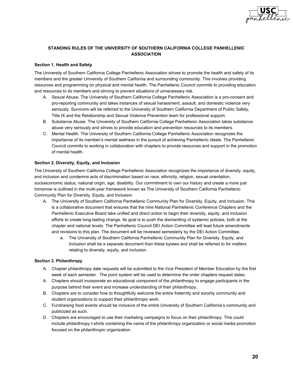

# <span id="page-19-0"></span>**STANDING RULES OF THE UNIVERSITY OF SOUTHERN CALIFORNIA COLLEGE PANHELLENIC ASSOCIATION**

# <span id="page-19-1"></span>**Section 1. Health and Safety**

The University of Southern California College Panhellenic Association strives to promote the health and safety of its members and the greater University of Southern California and surrounding community. This involves providing resources and programming on physical and mental health. The Panhellenic Council commits to providing education and resources to its members and striving to prevent situations of unnecessary risk.

- A. Sexual Abuse. The University of Southern California College Panhellenic Association is a pro-consent and pro-reporting community and takes instances of sexual harassment, assault, and domestic violence very seriously. Survivors will be referred to the University of Southern California Department of Public Safety, Title IX and the Relationship and Sexual Violence Prevention team for professional support.
- B. Substance Abuse. The University of Southern California College Panhellenic Association takes substance abuse very seriously and strives to provide education and prevention resources to its members.
- C. Mental Health. The University of Southern California College Panhellenic Association recognizes the importance of its member's mental wellness in the pursuit of achieving Panhellenic ideals. The Panhellenic Council commits to working in collaboration with chapters to provide resources and support in the promotion of mental health.

# <span id="page-19-2"></span>**Section 2. Diversity, Equity, and Inclusion**

The University of Southern California College Panhellenic Association recognizes the importance of diversity, equity, and inclusion and condemns acts of discrimination based on race, ethnicity, religion, sexual orientation, socioeconomic status, national origin, age, disability. Our commitment to own our history and create a more just tomorrow is outlined in the multi-year framework known as The University of Southern California Panhellenic Community Plan for Diversity, Equity, and Inclusion.

- A. The University of Southern California Panhellenic Community Plan for Diversity, Equity, and Inclusion. This is a collaborative document that ensures that the nine National Panhellenic Conference Chapters and the Panhellenic Executive Board take unified and direct action to begin their diversity, equity, and inclusion efforts to create long-lasting change. Its goal is to push the dismantling of systemic policies, both at the chapter and national levels. The Panhellenic Council DEI Action Committee will lead future amendments and revisions to this plan. The document will be reviewed semesterly by the DEI Action Committee.
	- a. The University of Southern California Panhellenic Community Plan for Diversity, Equity, and Inclusion shall be a separate document than these bylaws and shall be referred to for matters relating to diversity, equity, and inclusion.

#### <span id="page-19-3"></span>**Section 3. Philanthropy**

- A. Chapter philanthropy date requests will be submitted to the Vice President of Member Education by the first week of each semester. The point system will be used to determine the order chapters request dates.
- A. Chapters should incorporate an educational component of the philanthropy to engage participants in the purpose behind their event and increase understanding of their philanthropy.
- B. Chapters are to consider how to thoughtfully welcome the entire fraternity and sorority community and student organizations to support their philanthropic work.
- C. Fundraising food events should be inclusive of the entire University of Southern California's community and publicized as such.
- D. Chapters are encouraged to use their marketing campaigns to focus on their philanthropy. This could include philanthropy t-shirts containing the name of the philanthropy organization or social media promotion focused on the philanthropic organization.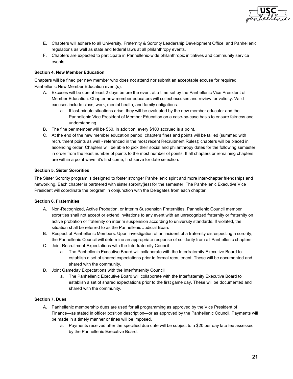

- E. Chapters will adhere to all University, Fraternity & Sorority Leadership Development Office, and Panhellenic regulations as well as state and federal laws at all philanthropy events.
- F. Chapters are expected to participate in Panhellenic-wide philanthropic initiatives and community service events.

# <span id="page-20-0"></span>**Section 4. New Member Education**

Chapters will be fined per new member who does not attend nor submit an acceptable excuse for required Panhellenic New Member Education event(s).

- A. Excuses will be due at least 2 days before the event at a time set by the Panhellenic Vice President of Member Education. Chapter new member educators will collect excuses and review for validity. Valid excuses include class, work, mental health, and family obligations.
	- a. If last-minute situations arise, they will be evaluated by the new member educator and the Panhellenic Vice President of Member Education on a case-by-case basis to ensure fairness and understanding.
- B. The fine per member will be \$50. In addition, every \$100 accrued is a point.
- C. At the end of the new member education period, chapters fines and points will be tallied (summed with recruitment points as well - referenced in the most recent Recruitment Rules); chapters will be placed in ascending order. Chapters will be able to pick their social and philanthropy dates for the following semester in order from the least number of points to the most number of points. If all chapters or remaining chapters are within a point wave, it's first come, first serve for date selection.

#### <span id="page-20-1"></span>**Section 5. Sister Sororities**

The Sister Sorority program is designed to foster stronger Panhellenic spirit and more inter-chapter friendships and networking. Each chapter is partnered with sister sorority(ies) for the semester. The Panhellenic Executive Vice President will coordinate the program in conjunction with the Delegates from each chapter.

#### <span id="page-20-2"></span>**Section 6. Fraternities**

- A. Non-Recognized, Active Probation, or Interim Suspension Fraternities. Panhellenic Council member sororities shall not accept or extend invitations to any event with an unrecognized fraternity or fraternity on active probation or fraternity on interim suspension according to university standards. If violated, the situation shall be referred to as the Panhellenic Judicial Board.
- B. Respect of Panhellenic Members. Upon investigation of an incident of a fraternity disrespecting a sorority, the Panhellenic Council will determine an appropriate response of solidarity from all Panhellenic chapters.
- C. Joint Recruitment Expectations with the Interfraternity Council
	- a. The Panhellenic Executive Board will collaborate with the Interfraternity Executive Board to establish a set of shared expectations prior to formal recruitment. These will be documented and shared with the community.
- D. Joint Gameday Expectations with the Interfraternity Council
	- a. The Panhellenic Executive Board will collaborate with the Interfraternity Executive Board to establish a set of shared expectations prior to the first game day. These will be documented and shared with the community.

# <span id="page-20-3"></span>**Section 7. Dues**

- A. Panhellenic membership dues are used for all programming as approved by the Vice President of Finance—as stated in officer position description—or as approved by the Panhellenic Council. Payments will be made in a timely manner or fines will be imposed.
	- a. Payments received after the specified due date will be subject to a \$20 per day late fee assessed by the Panhellenic Executive Board.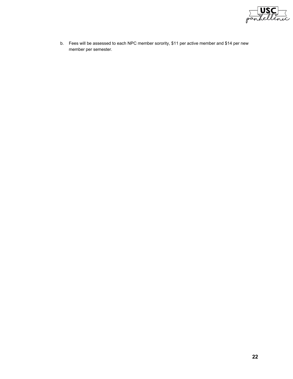

b. Fees will be assessed to each NPC member sorority, \$11 per active member and \$14 per new member per semester.